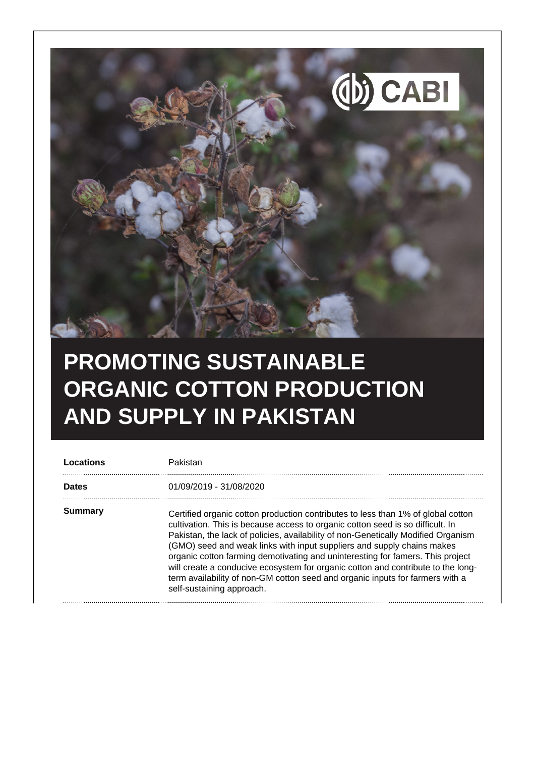

## **PROMOTING SUSTAINABLE ORGANIC COTTON PRODUCTION AND SUPPLY IN PAKISTAN**

| Locations    | Pakistan                                                                                                                                                                                                                                                                                                                                                                                                                                                                                                                                                                                                              |
|--------------|-----------------------------------------------------------------------------------------------------------------------------------------------------------------------------------------------------------------------------------------------------------------------------------------------------------------------------------------------------------------------------------------------------------------------------------------------------------------------------------------------------------------------------------------------------------------------------------------------------------------------|
| <b>Dates</b> | 01/09/2019 - 31/08/2020                                                                                                                                                                                                                                                                                                                                                                                                                                                                                                                                                                                               |
| Summary      | Certified organic cotton production contributes to less than 1% of global cotton<br>cultivation. This is because access to organic cotton seed is so difficult. In<br>Pakistan, the lack of policies, availability of non-Genetically Modified Organism<br>(GMO) seed and weak links with input suppliers and supply chains makes<br>organic cotton farming demotivating and uninteresting for famers. This project<br>will create a conducive ecosystem for organic cotton and contribute to the long-<br>term availability of non-GM cotton seed and organic inputs for farmers with a<br>self-sustaining approach. |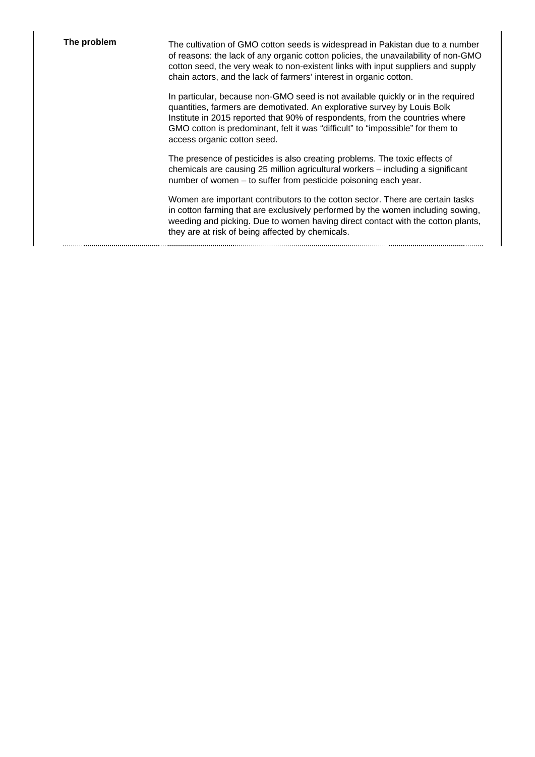**The problem** The cultivation of GMO cotton seeds is widespread in Pakistan due to a number of reasons: the lack of any organic cotton policies, the unavailability of non-GMO cotton seed, the very weak to non-existent links with input suppliers and supply chain actors, and the lack of farmers' interest in organic cotton.

> In particular, because non-GMO seed is not available quickly or in the required quantities, farmers are demotivated. An explorative survey by Louis Bolk Institute in 2015 reported that 90% of respondents, from the countries where GMO cotton is predominant, felt it was "difficult" to "impossible" for them to access organic cotton seed.

The presence of pesticides is also creating problems. The toxic effects of chemicals are causing 25 million agricultural workers – including a significant number of women – to suffer from pesticide poisoning each year.

Women are important contributors to the cotton sector. There are certain tasks in cotton farming that are exclusively performed by the women including sowing, weeding and picking. Due to women having direct contact with the cotton plants, they are at risk of being affected by chemicals.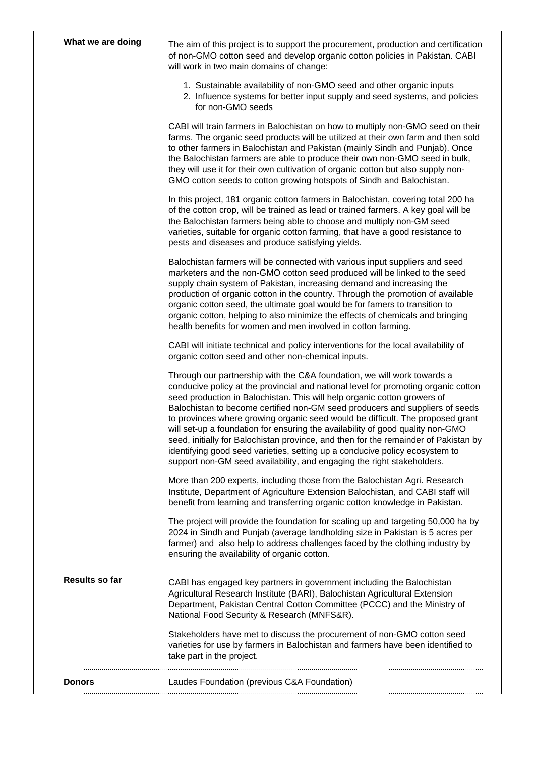What we are doing The aim of this project is to support the procurement, production and certification of non-GMO cotton seed and develop organic cotton policies in Pakistan. CABI will work in two main domains of change:

- 1. Sustainable availability of non-GMO seed and other organic inputs
- 2. Influence systems for better input supply and seed systems, and policies for non-GMO seeds

CABI will train farmers in Balochistan on how to multiply non-GMO seed on their farms. The organic seed products will be utilized at their own farm and then sold to other farmers in Balochistan and Pakistan (mainly Sindh and Punjab). Once the Balochistan farmers are able to produce their own non-GMO seed in bulk, they will use it for their own cultivation of organic cotton but also supply non-GMO cotton seeds to cotton growing hotspots of Sindh and Balochistan.

In this project, 181 organic cotton farmers in Balochistan, covering total 200 ha of the cotton crop, will be trained as lead or trained farmers. A key goal will be the Balochistan farmers being able to choose and multiply non-GM seed varieties, suitable for organic cotton farming, that have a good resistance to pests and diseases and produce satisfying yields.

Balochistan farmers will be connected with various input suppliers and seed marketers and the non-GMO cotton seed produced will be linked to the seed supply chain system of Pakistan, increasing demand and increasing the production of organic cotton in the country. Through the promotion of available organic cotton seed, the ultimate goal would be for famers to transition to organic cotton, helping to also minimize the effects of chemicals and bringing health benefits for women and men involved in cotton farming.

CABI will initiate technical and policy interventions for the local availability of organic cotton seed and other non-chemical inputs.

Through our partnership with the C&A foundation, we will work towards a conducive policy at the provincial and national level for promoting organic cotton seed production in Balochistan. This will help organic cotton growers of Balochistan to become certified non-GM seed producers and suppliers of seeds to provinces where growing organic seed would be difficult. The proposed grant will set-up a foundation for ensuring the availability of good quality non-GMO seed, initially for Balochistan province, and then for the remainder of Pakistan by identifying good seed varieties, setting up a conducive policy ecosystem to support non-GM seed availability, and engaging the right stakeholders.

More than 200 experts, including those from the Balochistan Agri. Research Institute, Department of Agriculture Extension Balochistan, and CABI staff will benefit from learning and transferring organic cotton knowledge in Pakistan.

The project will provide the foundation for scaling up and targeting 50,000 ha by 2024 in Sindh and Punjab (average landholding size in Pakistan is 5 acres per farmer) and also help to address challenges faced by the clothing industry by ensuring the availability of organic cotton.

**Results so far** CABI has engaged key partners in government including the Balochistan Agricultural Research Institute (BARI), Balochistan Agricultural Extension Department, Pakistan Central Cotton Committee (PCCC) and the Ministry of National Food Security & Research (MNFS&R).

> Stakeholders have met to discuss the procurement of non-GMO cotton seed varieties for use by farmers in Balochistan and farmers have been identified to take part in the project.

**Donors** Laudes Foundation (previous C&A Foundation)